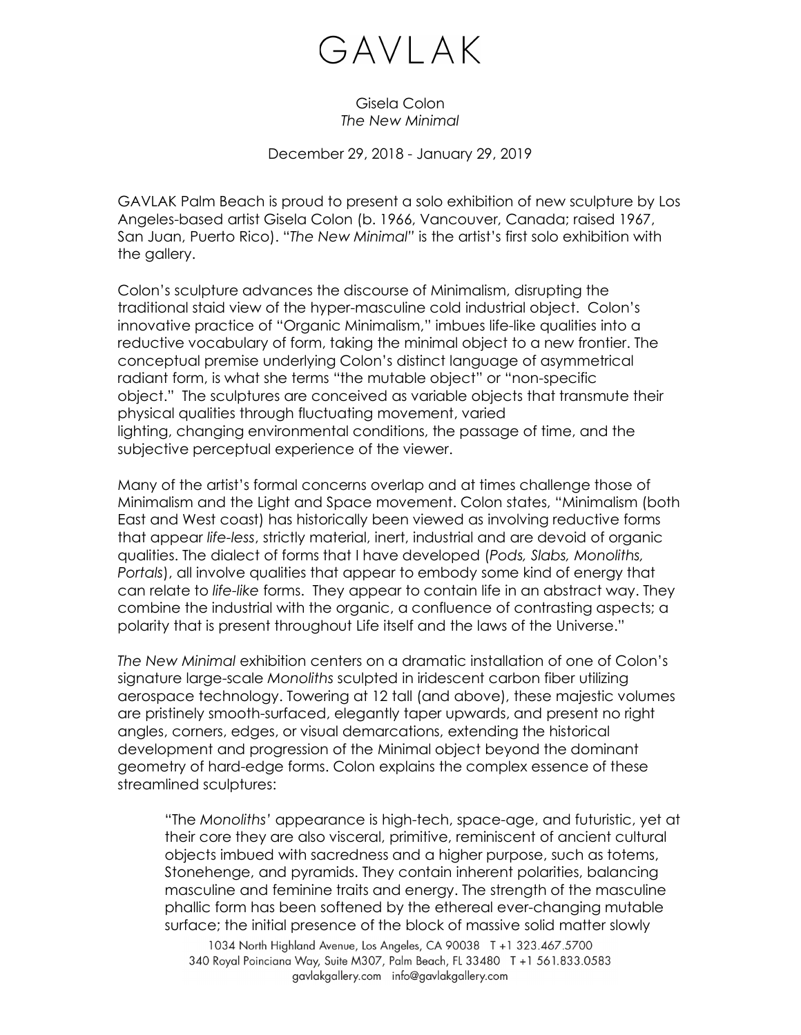## GAVLAK

## Gisela Colon *The New Minimal*

December 29, 2018 - January 29, 2019

GAVLAK Palm Beach is proud to present a solo exhibition of new sculpture by Los Angeles-based artist Gisela Colon (b. 1966, Vancouver, Canada; raised 1967, San Juan, Puerto Rico). "*The New Minimal"* is the artist's first solo exhibition with the gallery.

Colon's sculpture advances the discourse of Minimalism, disrupting the traditional staid view of the hyper-masculine cold industrial object. Colon's innovative practice of "Organic Minimalism," imbues life-like qualities into a reductive vocabulary of form, taking the minimal object to a new frontier. The conceptual premise underlying Colon's distinct language of asymmetrical radiant form, is what she terms "the mutable object" or "non-specific object." The sculptures are conceived as variable objects that transmute their physical qualities through fluctuating movement, varied lighting, changing environmental conditions, the passage of time, and the subjective perceptual experience of the viewer.

Many of the artist's formal concerns overlap and at times challenge those of Minimalism and the Light and Space movement. Colon states, "Minimalism (both East and West coast) has historically been viewed as involving reductive forms that appear *life-less*, strictly material, inert, industrial and are devoid of organic qualities. The dialect of forms that I have developed (*Pods, Slabs, Monoliths, Portals*), all involve qualities that appear to embody some kind of energy that can relate to *life-like* forms. They appear to contain life in an abstract way. They combine the industrial with the organic, a confluence of contrasting aspects; a polarity that is present throughout Life itself and the laws of the Universe."

*The New Minimal* exhibition centers on a dramatic installation of one of Colon's signature large-scale *Monoliths* sculpted in iridescent carbon fiber utilizing aerospace technology. Towering at 12 tall (and above), these majestic volumes are pristinely smooth-surfaced, elegantly taper upwards, and present no right angles, corners, edges, or visual demarcations, extending the historical development and progression of the Minimal object beyond the dominant geometry of hard-edge forms. Colon explains the complex essence of these streamlined sculptures:

"The *Monoliths'* appearance is high-tech, space-age, and futuristic, yet at their core they are also visceral, primitive, reminiscent of ancient cultural objects imbued with sacredness and a higher purpose, such as totems, Stonehenge, and pyramids. They contain inherent polarities, balancing masculine and feminine traits and energy. The strength of the masculine phallic form has been softened by the ethereal ever-changing mutable surface; the initial presence of the block of massive solid matter slowly

1034 North Highland Avenue, Los Angeles, CA 90038 T +1 323.467.5700 340 Royal Poinciana Way, Suite M307, Palm Beach, FL 33480 T +1 561.833.0583 gavlakgallery.com info@gavlakgallery.com